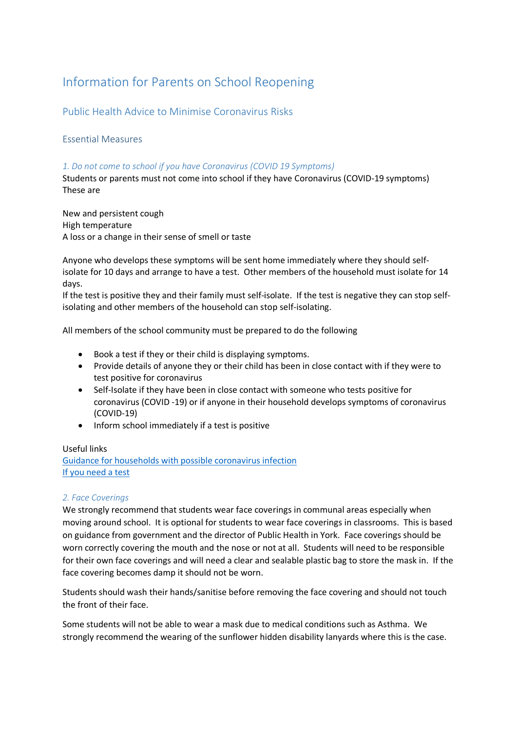# Information for Parents on School Reopening

Public Health Advice to Minimise Coronavirus Risks

# Essential Measures

## *1. Do not come to school if you have Coronavirus (COVID 19 Symptoms)*

Students or parents must not come into school if they have Coronavirus (COVID-19 symptoms) These are

New and persistent cough High temperature A loss or a change in their sense of smell or taste

Anyone who develops these symptoms will be sent home immediately where they should selfisolate for 10 days and arrange to have a test. Other members of the household must isolate for 14 days.

If the test is positive they and their family must self-isolate. If the test is negative they can stop selfisolating and other members of the household can stop self-isolating.

All members of the school community must be prepared to do the following

- Book a test if they or their child is displaying symptoms.
- Provide details of anyone they or their child has been in close contact with if they were to test positive for coronavirus
- Self-Isolate if they have been in close contact with someone who tests positive for coronavirus (COVID -19) or if anyone in their household develops symptoms of coronavirus (COVID-19)
- Inform school immediately if a test is positive

## Useful links

[Guidance for households with possible coronavirus infection](https://www.gov.uk/government/publications/covid-19-stay-at-home-guidance/stay-at-home-guidance-for-households-with-possible-coronavirus-covid-19-infection) [If you need a test](https://www.nhs.uk/conditions/coronavirus-covid-19/testing-and-tracing/)

## *2. Face Coverings*

We strongly recommend that students wear face coverings in communal areas especially when moving around school. It is optional for students to wear face coverings in classrooms. This is based on guidance from government and the director of Public Health in York. Face coverings should be worn correctly covering the mouth and the nose or not at all. Students will need to be responsible for their own face coverings and will need a clear and sealable plastic bag to store the mask in. If the face covering becomes damp it should not be worn.

Students should wash their hands/sanitise before removing the face covering and should not touch the front of their face.

Some students will not be able to wear a mask due to medical conditions such as Asthma. We strongly recommend the wearing of the sunflower hidden disability lanyards where this is the case.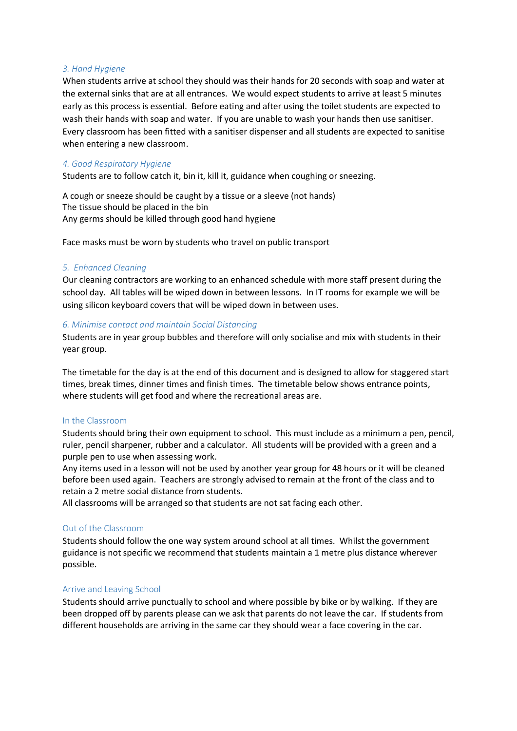#### *3. Hand Hygiene*

When students arrive at school they should was their hands for 20 seconds with soap and water at the external sinks that are at all entrances. We would expect students to arrive at least 5 minutes early as this process is essential. Before eating and after using the toilet students are expected to wash their hands with soap and water. If you are unable to wash your hands then use sanitiser. Every classroom has been fitted with a sanitiser dispenser and all students are expected to sanitise when entering a new classroom.

#### *4. Good Respiratory Hygiene*

Students are to follow catch it, bin it, kill it, guidance when coughing or sneezing.

A cough or sneeze should be caught by a tissue or a sleeve (not hands) The tissue should be placed in the bin Any germs should be killed through good hand hygiene

Face masks must be worn by students who travel on public transport

#### *5. Enhanced Cleaning*

Our cleaning contractors are working to an enhanced schedule with more staff present during the school day. All tables will be wiped down in between lessons. In IT rooms for example we will be using silicon keyboard covers that will be wiped down in between uses.

#### *6. Minimise contact and maintain Social Distancing*

Students are in year group bubbles and therefore will only socialise and mix with students in their year group.

The timetable for the day is at the end of this document and is designed to allow for staggered start times, break times, dinner times and finish times. The timetable below shows entrance points, where students will get food and where the recreational areas are.

#### In the Classroom

Students should bring their own equipment to school. This must include as a minimum a pen, pencil, ruler, pencil sharpener, rubber and a calculator. All students will be provided with a green and a purple pen to use when assessing work.

Any items used in a lesson will not be used by another year group for 48 hours or it will be cleaned before been used again. Teachers are strongly advised to remain at the front of the class and to retain a 2 metre social distance from students.

All classrooms will be arranged so that students are not sat facing each other.

## Out of the Classroom

Students should follow the one way system around school at all times. Whilst the government guidance is not specific we recommend that students maintain a 1 metre plus distance wherever possible.

## Arrive and Leaving School

Students should arrive punctually to school and where possible by bike or by walking. If they are been dropped off by parents please can we ask that parents do not leave the car. If students from different households are arriving in the same car they should wear a face covering in the car.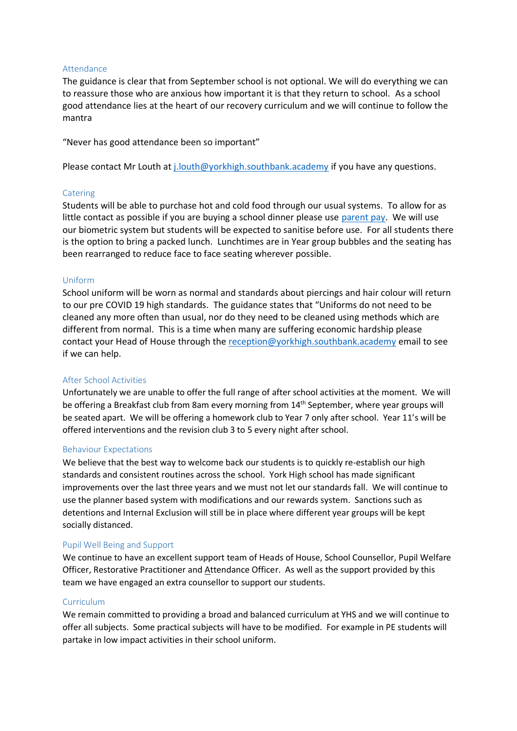## Attendance

The guidance is clear that from September school is not optional. We will do everything we can to reassure those who are anxious how important it is that they return to school. As a school good attendance lies at the heart of our recovery curriculum and we will continue to follow the mantra

"Never has good attendance been so important"

Please contact Mr Louth at [j.louth@yorkhigh.southbank.academy](mailto:j.louth@yorkhigh.southbank.academy) if you have any questions.

## Catering

Students will be able to purchase hot and cold food through our usual systems. To allow for as little contact as possible if you are buying a school dinner please use [parent pay.](https://www.yorkhighschool.co.uk/parentpay) We will use our biometric system but students will be expected to sanitise before use. For all students there is the option to bring a packed lunch. Lunchtimes are in Year group bubbles and the seating has been rearranged to reduce face to face seating wherever possible.

## Uniform

School uniform will be worn as normal and standards about piercings and hair colour will return to our pre COVID 19 high standards. The guidance states that "Uniforms do not need to be cleaned any more often than usual, nor do they need to be cleaned using methods which are different from normal. This is a time when many are suffering economic hardship please contact your Head of House through the [reception@yorkhigh.southbank.academy](mailto:reception@yorkhigh.southbank.academy) email to see if we can help.

## After School Activities

Unfortunately we are unable to offer the full range of after school activities at the moment. We will be offering a Breakfast club from 8am every morning from 14<sup>th</sup> September, where year groups will be seated apart. We will be offering a homework club to Year 7 only after school. Year 11's will be offered interventions and the revision club 3 to 5 every night after school.

## Behaviour Expectations

We believe that the best way to welcome back our students is to quickly re-establish our high standards and consistent routines across the school. York High school has made significant improvements over the last three years and we must not let our standards fall. We will continue to use the planner based system with modifications and our rewards system. Sanctions such as detentions and Internal Exclusion will still be in place where different year groups will be kept socially distanced.

# Pupil Well Being and Support

We continue to have an excellent support team of Heads of House, School Counsellor, Pupil Welfare Officer, Restorative Practitioner and Attendance Officer. As well as the support provided by this team we have engaged an extra counsellor to support our students.

## **Curriculum**

We remain committed to providing a broad and balanced curriculum at YHS and we will continue to offer all subjects. Some practical subjects will have to be modified. For example in PE students will partake in low impact activities in their school uniform.